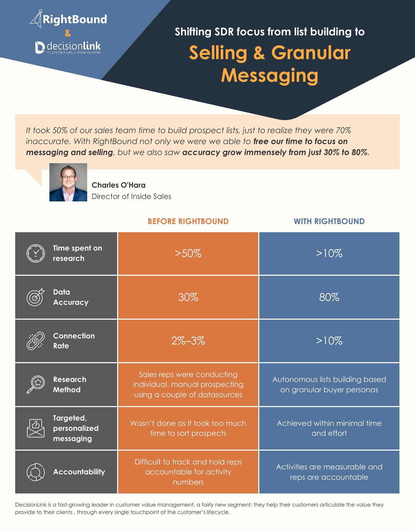

*It took 50% of our sales team time to build prospect lists, just to realize they were 70% inaccurate. With RightBound not only we were we able to free our time to focus on messaging and selling, but we also saw accuracy grow immensely from just 30% to 80%.*



**Charles O'Hara** Director of Inside Sales

## **BEFORE RIGHTBOUND WITH RIGHTBOUND**

| Time spent on<br>research              | $>50\%$                                                                                       | $>10\%$                                                       |
|----------------------------------------|-----------------------------------------------------------------------------------------------|---------------------------------------------------------------|
| Data<br><b>Accuracy</b>                | 30%                                                                                           | 80%                                                           |
| <b>Connection</b><br><b>Rate</b>       | $2\% - 3\%$                                                                                   | $>10\%$                                                       |
| <b>Research</b><br>Method              | Sales reps were conducting<br>individual, manual prospecting<br>using a couple of datasources | Autonomous lists building based<br>on granular buyer personas |
| Targeted,<br>personalized<br>messaging | Wasn't done as it took too much<br>time to sort prospects                                     | Achieved within minimal time<br>and effort                    |
| <b>Accountability</b>                  | Difficult to track and hold reps<br>accountable for activity<br>numbers                       | Activities are measurable and<br>reps are accountable         |

DecisionLink is a fast-growing leader in customer value management, a fairly new segment; they help their customers articulate the value they provide to their clients , through every single touchpoint of the customer's lifecycle.